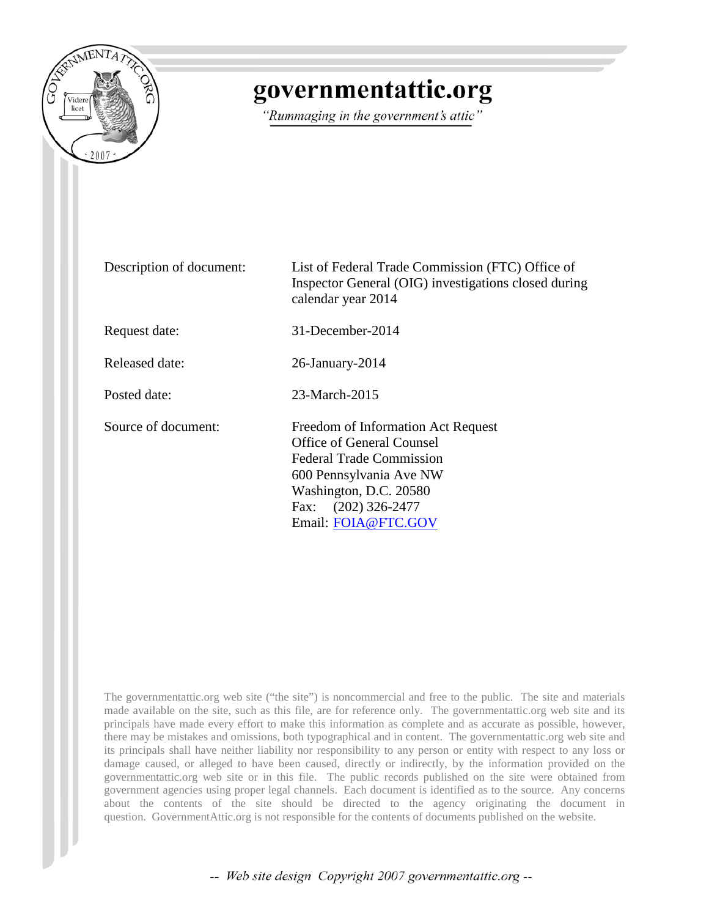

## governmentattic.org

"Rummaging in the government's attic"

| Description of document: | List of Federal Trade Commission (FTC) Office of<br>Inspector General (OIG) investigations closed during<br>calendar year 2014                                                                        |
|--------------------------|-------------------------------------------------------------------------------------------------------------------------------------------------------------------------------------------------------|
| Request date:            | 31-December-2014                                                                                                                                                                                      |
| Released date:           | 26-January-2014                                                                                                                                                                                       |
| Posted date:             | 23-March-2015                                                                                                                                                                                         |
| Source of document:      | Freedom of Information Act Request<br>Office of General Counsel<br><b>Federal Trade Commission</b><br>600 Pennsylvania Ave NW<br>Washington, D.C. 20580<br>Fax: (202) 326-2477<br>Email: FOIA@FTC.GOV |

The governmentattic.org web site ("the site") is noncommercial and free to the public. The site and materials made available on the site, such as this file, are for reference only. The governmentattic.org web site and its principals have made every effort to make this information as complete and as accurate as possible, however, there may be mistakes and omissions, both typographical and in content. The governmentattic.org web site and its principals shall have neither liability nor responsibility to any person or entity with respect to any loss or damage caused, or alleged to have been caused, directly or indirectly, by the information provided on the governmentattic.org web site or in this file. The public records published on the site were obtained from government agencies using proper legal channels. Each document is identified as to the source. Any concerns about the contents of the site should be directed to the agency originating the document in question. GovernmentAttic.org is not responsible for the contents of documents published on the website.

-- Web site design Copyright 2007 governmentattic.org --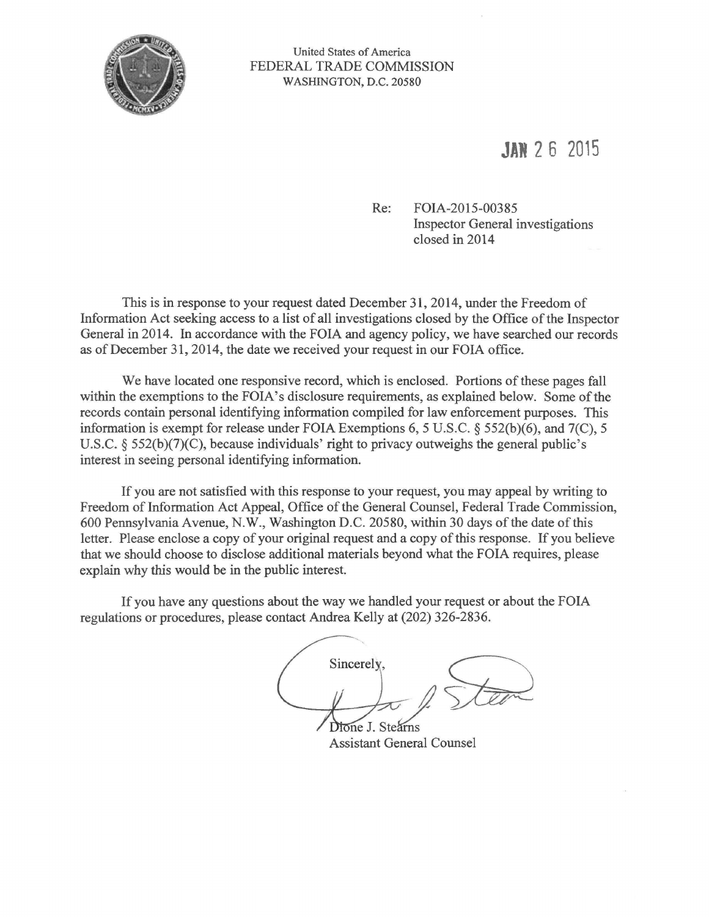

United States of America FEDERAL TRADE COMMISSION WASHINGTON, D.C. 20580

## **JAi 2 6 2015**

Re: FOIA-2015-00385 Inspector General investigations closed in 2014

This is in response to your request dated December 31, 2014, under the Freedom of Information Act seeking access to a list of all investigations closed by the Office of the Inspector General in 2014. In accordance with the FOIA and agency policy, we have searched our records as of December 31, 2014, the date we received your request in our FOIA office.

We have located one responsive record, which is enclosed. Portions of these pages fall within the exemptions to the FOIA's disclosure requirements, as explained below. Some of the records contain personal identifying information compiled for law enforcement purposes. This information is exempt for release under FOIA Exemptions 6, 5 U.S.C. *§* 552(b)(6), and 7(C), 5 U.S.C. *§* 552(b)(7)(C), because individuals' right to privacy outweighs the general public's interest in seeing personal identifying information.

If you are not satisfied with this response to your request, you may appeal by writing to Freedom of Information Act Appeal, Office of the General Counsel, Federal Trade Commission, 600 Pennsylvania Avenue, N.W., Washington D.C. 20580, within 30 days of the date of this letter. Please enclose a copy of your original request and a copy of this response. If you believe that we should choose to disclose additional materials beyond what the FOIA requires, please explain why this would be in the public interest.

If you have any questions about the way we handled your request or about the FOIA regulations or procedures, please contact Andrea Kelly at (202) 326-2836.

 $\frac{1}{\sqrt{1-\frac{1}{1-\frac{1}{1-\frac{1}{1-\frac{1}{1-\frac{1}{1-\frac{1}{1-\frac{1}{1-\frac{1}{1-\frac{1}{1-\frac{1}{1-\frac{1}{1-\frac{1}{1-\frac{1}{1-\frac{1}{1-\frac{1}{1-\frac{1}{1-\frac{1}{1-\frac{1}{1-\frac{1}{1-\frac{1}{1-\frac{1}{1-\frac{1}{1-\frac{1}{1-\frac{1}{1-\frac{1}{1-\frac{1}{1-\frac{1}{1-\frac{1}{1-\frac{1}{1-\frac{1}{1-\frac{1}{1-\frac{1}{1-\frac{1}{1-\frac{1}{1-\frac{1}{1-\$ Dione J. Stearns

Assistant General Counsel